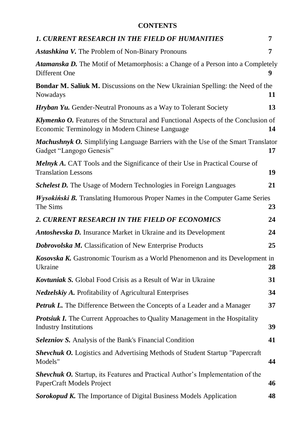## **CONTENTS**

| <b>1. CURRENT RESEARCH IN THE FIELD OF HUMANITIES</b>                                                                                        | 7  |
|----------------------------------------------------------------------------------------------------------------------------------------------|----|
| <b>Astashkina V.</b> The Problem of Non-Binary Pronouns                                                                                      | 7  |
| Atamanska D. The Motif of Metamorphosis: a Change of a Person into a Completely<br>Different One                                             |    |
| <b>Bondar M. Saliuk M.</b> Discussions on the New Ukrainian Spelling: the Need of the<br>Nowadays                                            | 11 |
| <b>Hryban Yu.</b> Gender-Neutral Pronouns as a Way to Tolerant Society                                                                       | 13 |
| <b>Klymenko O.</b> Features of the Structural and Functional Aspects of the Conclusion of<br>Economic Terminology in Modern Chinese Language | 14 |
| <b>Machushnyk O.</b> Simplifying Language Barriers with the Use of the Smart Translator<br>Gadget "Langogo Genesis"                          | 17 |
| <b>Melnyk A.</b> CAT Tools and the Significance of their Use in Practical Course of<br><b>Translation Lessons</b>                            | 19 |
| <b>Schelest D.</b> The Usage of Modern Technologies in Foreign Languages                                                                     | 21 |
| <b>Wysokiński B.</b> Translating Humorous Proper Names in the Computer Game Series<br>The Sims                                               | 23 |
| 2. CURRENT RESEARCH IN THE FIELD OF ECONOMICS                                                                                                | 24 |
| <b>Antoshevska D.</b> Insurance Market in Ukraine and its Development                                                                        | 24 |
| <b>Dobrovolska M.</b> Classification of New Enterprise Products                                                                              | 25 |
| Kosovska K. Gastronomic Tourism as a World Phenomenon and its Development in<br>Ukraine                                                      | 28 |
| <b>Kovtuniak S.</b> Global Food Crisis as a Result of War in Ukraine                                                                         | 31 |
| <i>Nedzelskiy A.</i> Profitability of Agricultural Enterprises                                                                               | 34 |
| <b>Petruk L.</b> The Difference Between the Concepts of a Leader and a Manager                                                               | 37 |
| <b>Protsiuk I.</b> The Current Approaches to Quality Management in the Hospitality<br><b>Industry Institutions</b>                           | 39 |
| <b>Selezniov S.</b> Analysis of the Bank's Financial Condition                                                                               | 41 |
| <b>Shevchuk O.</b> Logistics and Advertising Methods of Student Startup "Papercraft"<br>Models"                                              | 44 |
| <b>Shevchuk O.</b> Startup, its Features and Practical Author's Implementation of the<br>PaperCraft Models Project                           | 46 |
| <b>Sorokopud K.</b> The Importance of Digital Business Models Application                                                                    | 48 |